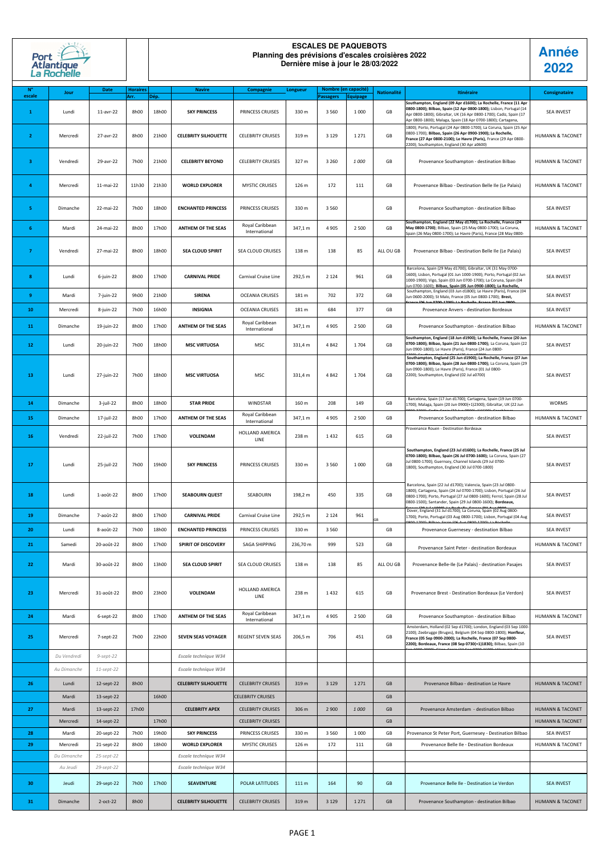**Année 2022**

| N°<br>escale | Jour        | Date          | <b>Horaires</b><br>Arr. | Dép.  | <b>Navire</b>               | Compagnie                        | Longueur         | Nombre (en capacité)<br><b>Passagers</b> | <b>Equipage</b> | <b>Nationalité</b> | Itinéraire                                                                                                                                                                                                                                                                    | Consignataire               |
|--------------|-------------|---------------|-------------------------|-------|-----------------------------|----------------------------------|------------------|------------------------------------------|-----------------|--------------------|-------------------------------------------------------------------------------------------------------------------------------------------------------------------------------------------------------------------------------------------------------------------------------|-----------------------------|
| $\mathbf{1}$ | Lundi       | 11-avr-22     | 8h00                    | 18h00 | <b>SKY PRINCESS</b>         | PRINCESS CRUISES                 | 330 m            | 3560                                     | 1 0 0 0         | GB                 | Southampton, England (09 Apr d1600); La Rochelle, France (11 Apr<br>0800-1800); Bilbao, Spain (12 Apr 0800-1800); Lisbon, Portugal (14<br>Apr 0800-1800); Gibraltar, UK (16 Apr 0800-1700); Cadiz, Spain (17<br>Apr 0800-1800); Malaga, Spain (18 Apr 0700-1800); Cartagena,  | <b>SEA INVEST</b>           |
| $\mathbf{2}$ | Mercredi    | 27-avr-22     | 8h00                    | 21h00 | <b>CELEBRITY SILHOUETTE</b> | <b>CELEBRITY CRUISES</b>         | 319 m            | 3 1 2 9                                  | 1 2 7 1         | GB                 | 1800); Porto, Portugal (24 Apr 0800-1700); La Coruna, Spain (25 Apr<br>0800-1700); Bilbao, Spain (26 Apr 0900-1900); La Rochelle,<br>France (27 Apr 0800-2100); Le Havre (Paris), France (29 Apr 0800-<br>2200); Southampton, England (30 Apr a0600)                          | <b>HUMANN &amp; TACONET</b> |
| -3           | Vendredi    | 29-avr-22     | 7h00                    | 21h00 | <b>CELEBRITY BEYOND</b>     | <b>CELEBRITY CRUISES</b>         | 327 m            | 3 2 6 0                                  | 1 000           | GB                 | Provenance Southampton - destination Bilbao                                                                                                                                                                                                                                   | <b>HUMANN &amp; TACONET</b> |
| 4            | Mercredi    | 11-mai-22     | 11h30                   | 21h30 | <b>WORLD EXPLORER</b>       | <b>MYSTIC CRUISES</b>            | 126 m            | 172                                      | 111             | GB                 | Provenance Bilbao - Destination Belle Ile (Le Palais)                                                                                                                                                                                                                         | <b>HUMANN &amp; TACONET</b> |
| -51          | Dimanche    | 22-mai-22     | 7h00                    | 18h00 | <b>ENCHANTED PRINCESS</b>   | PRINCESS CRUISES                 | 330 m            | 3 5 6 0                                  |                 | GB                 | Provenance Southampton - destination Bilbao                                                                                                                                                                                                                                   | <b>SEA INVEST</b>           |
| 6            | Mardi       | 24-mai-22     | 8h00                    | 17h00 | <b>ANTHEM OF THE SEAS</b>   | Royal Caribbean<br>International | 347,1 m          | 4 9 0 5                                  | 2 500           | GB                 | Southampton, England (22 May d1700); La Rochelle, France (24<br>May 0800-1700); Bilbao, Spain (25 May 0800-1700); La Coruna,<br>Spain (26 May 0800-1700); Le Havre (Paris), France (28 May 0800-                                                                              | <b>HUMANN &amp; TACONET</b> |
| -7           | Vendredi    | 27-mai-22     | 8h00                    | 18h00 | <b>SEA CLOUD SPIRIT</b>     | SEA CLOUD CRUISES                | 138 m            | 138                                      | 85              | ALL OU GB          | Provenance Bilbao - Destination Belle Ile (Le Palais)                                                                                                                                                                                                                         | <b>SEA INVEST</b>           |
| -8           | Lundi       | $6$ -juin-22  | 8h00                    | 17h00 | <b>CARNIVAL PRIDE</b>       | Carnival Cruise Line             | 292,5 m          | 2 1 2 4                                  | 961             | GB                 | Barcelona, Spain (29 May d1700); Gibraltar, UK (31 May 0700-<br>1600); Lisbon, Portugal (01 Jun 1000-1900); Porto, Portugal (02 Jun<br>1000-1900); Vigo, Spain (03 Jun 0700-1700); La Coruna, Spain (04<br>un 0700-1600); Bilbao, Spain (05 Jun 0900-1800); La Rochelle,      | <b>SEA INVEST</b>           |
| 9            | Mardi       | 7-juin-22     | 9h00                    | 21h00 | <b>SIRENA</b>               | <b>OCEANIA CRUISES</b>           | 181 m            | 702                                      | 372             | GB                 | Southampton, England (03 Jun d1800); Le Havre (Paris), France (04<br>Jun 0600-2000); St Malo, France (05 Jun 0800-1700); Brest,                                                                                                                                               | <b>SEA INVEST</b>           |
| 10           | Mercredi    | 8-juin-22     | 7h00                    | 16h00 | INSIGNIA                    | <b>OCEANIA CRUISES</b>           | 181 m            | 684                                      | 377             | GB                 | Provenance Anvers - destination Bordeaux                                                                                                                                                                                                                                      | <b>SEA INVEST</b>           |
| 11           | Dimanche    | 19-juin-22    | 8h00                    | 17h00 | <b>ANTHEM OF THE SEAS</b>   | Royal Caribbean<br>International | 347,1 m          | 4 9 0 5                                  | 2 500           | GB                 | Provenance Southampton - destination Bilbao                                                                                                                                                                                                                                   | <b>HUMANN &amp; TACONET</b> |
| 12           | Lundi       | 20-juin-22    | 7h00                    | 18h00 | <b>MSC VIRTUOSA</b>         | <b>MSC</b>                       | 331,4 m          | 4 842                                    | 1704            | GB                 | Southampton, England (18 Jun d1900); La Rochelle, France (20 Jun<br>0700-1800); Bilbao, Spain (21 Jun 0800-1700); La Coruna, Spain (22<br>Jun 0900-1800); Le Havre (Paris), France (24 Jun 0800-<br>Southampton, England (25 Jun d1900); La Rochelle, France (27 Jun          | <b>SEA INVEST</b>           |
| 13           | Lundi       | 27-juin-22    | 7h00                    | 18h00 | <b>MSC VIRTUOSA</b>         | <b>MSC</b>                       | 331,4 m          | 4 8 4 2                                  | 1704            | GB                 | 0700-1800); Bilbao, Spain (28 Jun 0800-1700); La Coruna, Spain (29<br>Jun 0900-1800); Le Havre (Paris), France (01 Jul 0800-<br>2200); Southampton, England (02 Jul a0700)                                                                                                    | <b>SEA INVEST</b>           |
| 14           | Dimanche    | $3$ -juil-22  | 8h00                    | 18h00 | <b>STAR PRIDE</b>           | <b>WINDSTAR</b>                  | 160 m            | 208                                      | 149             | GB                 | Barcelona, Spain (17 Jun d1700); Cartagena, Spain (19 Jun 0700-<br>1700); Malaga, Spain (20 Jun 0900(+1)2300); Gibraltar, UK (22 Jun                                                                                                                                          | <b>WORMS</b>                |
| 15           | Dimanche    | 17-juil-22    | 8h00                    | 17h00 | <b>ANTHEM OF THE SEAS</b>   | Royal Caribbean<br>International | 347,1 m          | 4 9 0 5                                  | 2 500           | GB                 | Provenance Southampton - destination Bilbao                                                                                                                                                                                                                                   | <b>HUMANN &amp; TACONET</b> |
| 16           | Vendredi    | 22-juil-22    | 7h00                    | 17h00 | <b>VOLENDAM</b>             | HOLLAND AMERICA<br>LINE          | 238 m            | 1432                                     | 615             | GB                 | Provenance Rouen - Destination Bordeaux                                                                                                                                                                                                                                       | <b>SEA INVEST</b>           |
| 17           | Lundi       | 25-juil-22    | 7h00                    | 19h00 | <b>SKY PRINCESS</b>         | PRINCESS CRUISES                 | 330 m            | 3 5 6 0                                  | 1 0 0 0         | GB                 | Southampton, England (23 Jul d1600); La Rochelle, France (25 Jul<br>0700-1800); Bilbao, Spain (26 Jul 0700-1600); La Coruna, Spain (27<br>Jul 0800-1700); Guernsey, Channel Islands (29 Jul 0700-<br>1800); Southampton, England (30 Jul 0700-1800)                           | <b>SEA INVEST</b>           |
| 18           | Lundi       | $1$ -août-22  | 8h00                    | 17h00 | <b>SEABOURN QUEST</b>       | SEABOURN                         | 198,2 m          | 450                                      | 335             | GB                 | Barcelona, Spain (22 Jul d1700); Valencia, Spain (23 Jul 0800-<br>1800); Cartagena, Spain (24 Jul 0700-1700); Lisbon, Portugal (26 Jul<br>0800-1700); Porto, Portugal (27 Jul 0800-1600); Ferrol, Spain (28 Jul<br>0800-1500); Santander, Spain (29 Jul 0800-1600); Bordeaux, | <b>SEA INVEST</b>           |
| 19           | Dimanche    | 7-août-22     | 8h00                    | 17h00 | <b>CARNIVAL PRIDE</b>       | Carnival Cruise Line             | 292,5 m          | 2 1 2 4                                  | 961             | GB                 | Dover, England (31 Jul d1700); La Coruna, Spain (02 Aug 0800-<br>1700); Porto, Portugal (03 Aug 0800-1700); Lisbon, Portugal (04 Aug                                                                                                                                          | <b>SEA INVEST</b>           |
| 20           | Lundi       | 8-août-22     | 7h00                    | 18h00 | <b>ENCHANTED PRINCESS</b>   | PRINCESS CRUISES                 | 330 m            | 3 5 6 0                                  |                 | GB                 | Provenance Guernesey - destination Bilbao                                                                                                                                                                                                                                     | SEA INVEST                  |
| 21           | Samedi      | 20-août-22    | 8h00                    | 17h00 | <b>SPIRIT OF DISCOVERY</b>  | SAGA SHIPPING                    | 236,70 m         | 999                                      | 523             | GB                 | Provenance Saint Peter - destination Bordeaux                                                                                                                                                                                                                                 | <b>HUMANN &amp; TACONET</b> |
| 22           | Mardi       | 30-août-22    | 8h00                    | 13h00 | <b>SEA CLOUD SPIRIT</b>     | <b>SEA CLOUD CRUISES</b>         | 138 m            | 138                                      | 85              | ALL OU GB          | Provenance Belle-Ile (Le Palais) - destination Pasajes                                                                                                                                                                                                                        | <b>SEA INVEST</b>           |
| 23           | Mercredi    | 31-août-22    | 8h00                    | 23h00 | <b>VOLENDAM</b>             | <b>HOLLAND AMERICA</b><br>LINE   | 238 m            | 1432                                     | 615             | GB                 | Provenance Brest - Destination Bordeaux (Le Verdon)                                                                                                                                                                                                                           | <b>SEA INVEST</b>           |
| 24           | Mardi       | $6$ -sept-22  | 8h00                    | 17h00 | <b>ANTHEM OF THE SEAS</b>   | Royal Caribbean<br>International | 347,1 m          | 4 9 0 5                                  | 2 500           | GB                 | Provenance Southampton - destination Bilbao                                                                                                                                                                                                                                   | <b>HUMANN &amp; TACONET</b> |
| 25           | Mercredi    | $7$ -sept-22  | 7h00                    | 22h00 | <b>SEVEN SEAS VOYAGER</b>   | <b>REGENT SEVEN SEAS</b>         | 206,5 m          | 706                                      | 451             | GB                 | Amsterdam, Holland (02 Sep d1700); London, England (03 Sep 1000-<br>2100); Zeebrugge (Bruges), Belgium (04 Sep 0800-1800); Honfleur,<br>France (05 Sep 0900-2000); La Rochelle, France (07 Sep 0800-<br>2200); Bordeaux, France (08 Sep 0730(+1)1830); Bilbao, Spain (10      | SEA INVEST                  |
|              | Du Vendredi | $9$ -sept-22  |                         |       | Escale technique W34        |                                  |                  |                                          |                 |                    |                                                                                                                                                                                                                                                                               |                             |
|              | Au Dimanche | $11$ -sept-22 |                         |       | Escale technique W34        |                                  |                  |                                          |                 |                    |                                                                                                                                                                                                                                                                               |                             |
| 26           | Lundi       | 12-sept-22    | 8h00                    |       | <b>CELEBRITY SILHOUETTE</b> | <b>CELEBRITY CRUISES</b>         | 319 m            | 3 1 2 9                                  | 1 2 7 1         | GB                 | Provenance Bilbao - destination Le Havre                                                                                                                                                                                                                                      | <b>HUMANN &amp; TACONET</b> |
|              | Mardi       | 13-sept-22    |                         | 16h00 |                             | <b>CELEBRITY CRUISES</b>         |                  |                                          |                 | GB                 |                                                                                                                                                                                                                                                                               |                             |
| 27           | Mardi       | 13-sept-22    | 17h00                   |       | <b>CELEBRITY APEX</b>       | <b>CELEBRITY CRUISES</b>         | 306 m            | 2 9 0 0                                  | 1000            | GB                 | Provenance Amsterdam - destination Bilbao                                                                                                                                                                                                                                     | <b>HUMANN &amp; TACONET</b> |
|              | Mercredi    | 14-sept-22    |                         | 17h00 |                             | <b>CELEBRITY CRUISES</b>         |                  |                                          |                 | GB                 |                                                                                                                                                                                                                                                                               | <b>HUMANN &amp; TACONET</b> |
| 28           | Mardi       | 20-sept-22    | 7h00                    | 19h00 | <b>SKY PRINCESS</b>         | PRINCESS CRUISES                 | 330 m            | 3 5 6 0                                  | 1 0 0 0         | GB                 | Provenance St Peter Port, Guernesey - Destination Bilbao                                                                                                                                                                                                                      | <b>SEA INVEST</b>           |
| 29           | Mercredi    | 21-sept-22    | 8h00                    | 18h00 | <b>WORLD EXPLORER</b>       | <b>MYSTIC CRUISES</b>            | 126 m            | 172                                      | 111             | GB                 | Provenance Belle Ile - Destination Bordeaux                                                                                                                                                                                                                                   | <b>HUMANN &amp; TACONET</b> |
|              | Du Dimanche | $25$ -sept-22 |                         |       | Escale technique W34        |                                  |                  |                                          |                 |                    |                                                                                                                                                                                                                                                                               |                             |
|              | Au Jeudi    | 29-sept-22    |                         |       | Escale technique W34        |                                  |                  |                                          |                 |                    |                                                                                                                                                                                                                                                                               |                             |
| 30           | Jeudi       | 29-sept-22    | 7h00                    | 17h00 | <b>SEAVENTURE</b>           | POLAR LATITUDES                  | 111 m            | 164                                      | 90              | GB                 | Provenance Belle Ile - Destination Le Verdon                                                                                                                                                                                                                                  | <b>SEA INVEST</b>           |
| 31           | Dimanche    | $2$ -oct-22   | 8h00                    |       | <b>CELEBRITY SILHOUETTE</b> | <b>CELEBRITY CRUISES</b>         | 319 <sub>m</sub> | 3 1 2 9                                  | 1 2 7 1         | GB                 | Provenance Southampton - destination Bilbao                                                                                                                                                                                                                                   | HUMANN & TACONET            |

| Port                          |  |
|-------------------------------|--|
| <b>Atlantique</b><br>Rochelle |  |

## **ESCALES DE PAQUEBOTS Planning des prévisions d'escales croisières 2022 Dernière mise à jour le 28/03/2022**